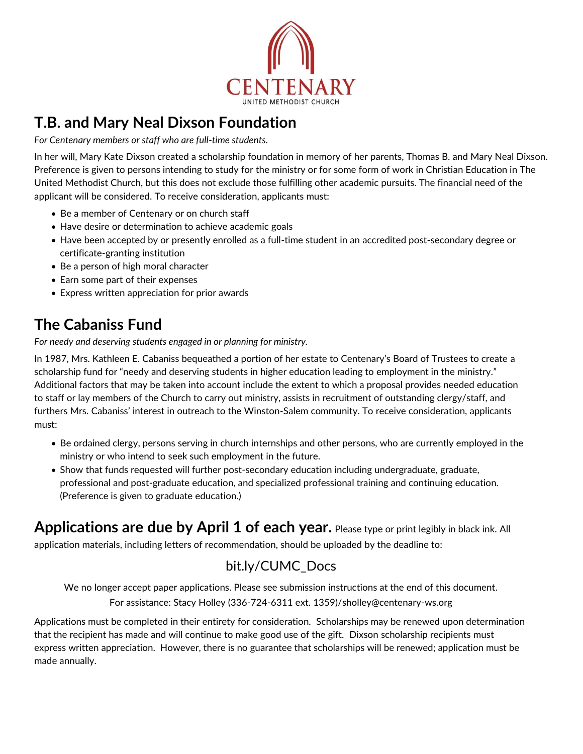

## **T.B. and Mary Neal Dixson Foundation**

*For Centenary members or staff who are full-time students.*

In her will, Mary Kate Dixson created a scholarship foundation in memory of her parents, Thomas B. and Mary Neal Dixson. Preference is given to persons intending to study for the ministry or for some form of work in Christian Education in The United Methodist Church, but this does not exclude those fulfilling other academic pursuits. The financial need of the applicant will be considered. To receive consideration, applicants must:

- Be a member of Centenary or on church staff
- Have desire or determination to achieve academic goals
- Have been accepted by or presently enrolled as a full-time student in an accredited post-secondary degree or certificate-granting institution
- Be a person of high moral character
- Earn some part of their expenses
- Express written appreciation for prior awards

# **The Cabaniss Fund**

*For needy and deserving students engaged in or planning for ministry.*

In 1987, Mrs. Kathleen E. Cabaniss bequeathed a portion of her estate to Centenary's Board of Trustees to create a scholarship fund for "needy and deserving students in higher education leading to employment in the ministry." Additional factors that may be taken into account include the extent to which a proposal provides needed education to staff or lay members of the Church to carry out ministry, assists in recruitment of outstanding clergy/staff, and furthers Mrs. Cabaniss' interest in outreach to the Winston-Salem community. To receive consideration, applicants must:

- Be ordained clergy, persons serving in church internships and other persons, who are currently employed in the ministry or who intend to seek such employment in the future.
- Show that funds requested will further post-secondary education including undergraduate, graduate, professional and post-graduate education, and specialized professional training and continuing education. (Preference is given to graduate education.)

**Applications are due by April 1 of each year.** Please type or print legibly in black ink. All

application materials, including letters of recommendation, should be uploaded by the deadline to:

### [bit.ly/CUMC\\_Docs](https://www.dropbox.com/request/nZJQc5nlrPtilaVWTw7p)

We no longer accept paper applications. Please see submission instructions at the end of this document. For assistance: Stacy Holley (336-724-6311 ext. 1359)/sholley@centenary-ws.org

Applications must be completed in their entirety for consideration. Scholarships may be renewed upon determination that the recipient has made and will continue to make good use of the gift. Dixson scholarship recipients must express written appreciation. However, there is no guarantee that scholarships will be renewed; application must be made annually.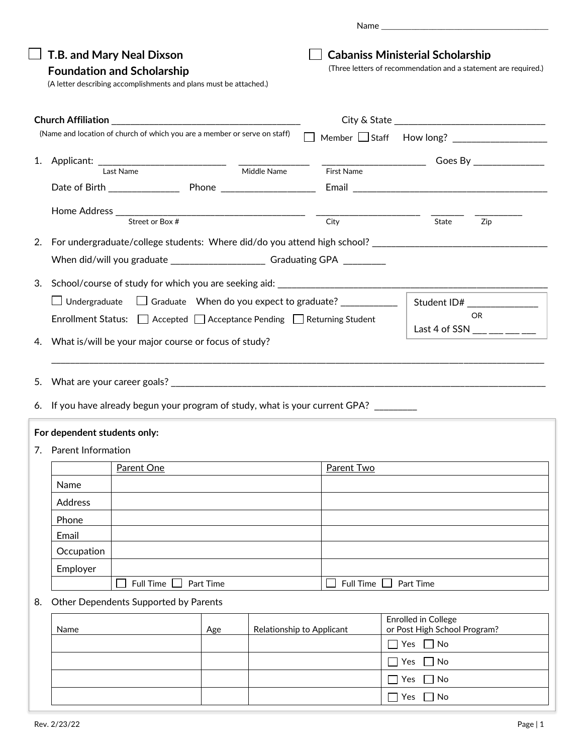|    |                                                                        | T.B. and Mary Neal Dixson<br><b>Foundation and Scholarship</b><br>(A letter describing accomplishments and plans must be attached.) |                           |                               | <b>Cabaniss Ministerial Scholarship</b><br>(Three letters of recommendation and a statement are required.)           |  |  |  |  |
|----|------------------------------------------------------------------------|-------------------------------------------------------------------------------------------------------------------------------------|---------------------------|-------------------------------|----------------------------------------------------------------------------------------------------------------------|--|--|--|--|
|    |                                                                        | (Name and location of church of which you are a member or serve on staff)                                                           |                           |                               | Member Staff How long? ___________________                                                                           |  |  |  |  |
|    |                                                                        |                                                                                                                                     |                           |                               |                                                                                                                      |  |  |  |  |
| 1. |                                                                        | Applicant: Last Name Middle Name                                                                                                    |                           | First Name                    |                                                                                                                      |  |  |  |  |
|    |                                                                        |                                                                                                                                     |                           |                               |                                                                                                                      |  |  |  |  |
|    |                                                                        |                                                                                                                                     |                           |                               |                                                                                                                      |  |  |  |  |
|    |                                                                        |                                                                                                                                     |                           |                               | State<br>Zip                                                                                                         |  |  |  |  |
| 2. |                                                                        |                                                                                                                                     |                           |                               |                                                                                                                      |  |  |  |  |
|    |                                                                        | When did/will you graduate _______________________________Graduating GPA ________                                                   |                           |                               |                                                                                                                      |  |  |  |  |
|    |                                                                        |                                                                                                                                     |                           |                               |                                                                                                                      |  |  |  |  |
| 3. |                                                                        |                                                                                                                                     |                           |                               |                                                                                                                      |  |  |  |  |
|    |                                                                        | □ Undergraduate □ Graduate When do you expect to graduate? ___________                                                              |                           |                               | Student ID# ________________<br>OR.                                                                                  |  |  |  |  |
|    | Enrollment Status: □ Accepted □ Acceptance Pending □ Returning Student |                                                                                                                                     |                           |                               | Last 4 of SSN $\_\_\_\_\_\_\_\_\_\_\_\_\_\_\_\_\_\_\_$                                                               |  |  |  |  |
| 4. |                                                                        | What is/will be your major course or focus of study?                                                                                |                           |                               |                                                                                                                      |  |  |  |  |
|    |                                                                        |                                                                                                                                     |                           |                               | <u> 1980 - Jan James Alemania, martin amerikan basar dan berasal dalam berasal dalam berasal dalam berasal dalam</u> |  |  |  |  |
| 5. |                                                                        |                                                                                                                                     |                           |                               |                                                                                                                      |  |  |  |  |
|    |                                                                        | 6. If you have already begun your program of study, what is your current GPA? ________                                              |                           |                               |                                                                                                                      |  |  |  |  |
|    |                                                                        |                                                                                                                                     |                           |                               |                                                                                                                      |  |  |  |  |
|    | For dependent students only:                                           |                                                                                                                                     |                           |                               |                                                                                                                      |  |  |  |  |
|    | 7. Parent Information                                                  |                                                                                                                                     |                           |                               |                                                                                                                      |  |  |  |  |
|    | Parent One                                                             |                                                                                                                                     | <b>Parent Two</b>         |                               |                                                                                                                      |  |  |  |  |
|    | Name                                                                   |                                                                                                                                     |                           |                               |                                                                                                                      |  |  |  |  |
|    | Address                                                                |                                                                                                                                     |                           |                               |                                                                                                                      |  |  |  |  |
|    | Phone                                                                  |                                                                                                                                     |                           |                               |                                                                                                                      |  |  |  |  |
|    | Email                                                                  |                                                                                                                                     |                           |                               |                                                                                                                      |  |  |  |  |
|    | Occupation                                                             |                                                                                                                                     |                           |                               |                                                                                                                      |  |  |  |  |
|    | Employer                                                               |                                                                                                                                     |                           |                               |                                                                                                                      |  |  |  |  |
|    | <b>Full Time</b><br>Part Time                                          |                                                                                                                                     |                           | <b>Full Time</b><br>Part Time |                                                                                                                      |  |  |  |  |
| 8. | Other Dependents Supported by Parents                                  |                                                                                                                                     |                           |                               |                                                                                                                      |  |  |  |  |
|    | Name                                                                   | Age                                                                                                                                 | Relationship to Applicant |                               | Enrolled in College<br>or Post High School Program?                                                                  |  |  |  |  |
|    |                                                                        |                                                                                                                                     |                           |                               | $\Box$ No<br>Yes                                                                                                     |  |  |  |  |
|    |                                                                        |                                                                                                                                     |                           |                               | $\Box$ No<br>Yes                                                                                                     |  |  |  |  |
|    |                                                                        |                                                                                                                                     |                           |                               | $\Box$ No<br>Yes                                                                                                     |  |  |  |  |
|    |                                                                        |                                                                                                                                     |                           |                               | Yes<br>$\Box$ No                                                                                                     |  |  |  |  |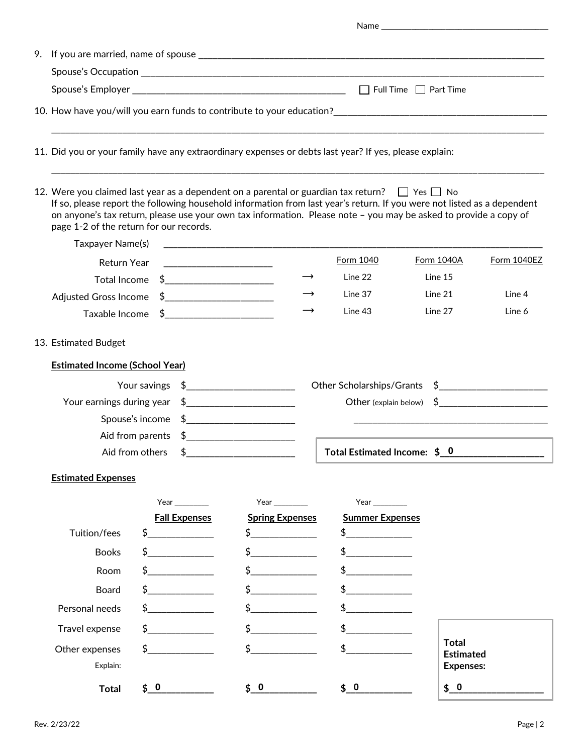| 9. |                                                                                                                                                                                                                                                                                                                                                                                                    |                                               |                                                                                                                                                                                                                                                                                                                     |                                                                      |                                  |             |  |  |  |
|----|----------------------------------------------------------------------------------------------------------------------------------------------------------------------------------------------------------------------------------------------------------------------------------------------------------------------------------------------------------------------------------------------------|-----------------------------------------------|---------------------------------------------------------------------------------------------------------------------------------------------------------------------------------------------------------------------------------------------------------------------------------------------------------------------|----------------------------------------------------------------------|----------------------------------|-------------|--|--|--|
|    |                                                                                                                                                                                                                                                                                                                                                                                                    |                                               |                                                                                                                                                                                                                                                                                                                     |                                                                      |                                  |             |  |  |  |
|    |                                                                                                                                                                                                                                                                                                                                                                                                    |                                               |                                                                                                                                                                                                                                                                                                                     |                                                                      |                                  |             |  |  |  |
|    |                                                                                                                                                                                                                                                                                                                                                                                                    |                                               |                                                                                                                                                                                                                                                                                                                     | $\text{Spouse's Employee } \underbrace{\hspace{2cm}}_{\text{1.2cm}}$ |                                  |             |  |  |  |
|    |                                                                                                                                                                                                                                                                                                                                                                                                    |                                               |                                                                                                                                                                                                                                                                                                                     |                                                                      |                                  |             |  |  |  |
|    | 11. Did you or your family have any extraordinary expenses or debts last year? If yes, please explain:                                                                                                                                                                                                                                                                                             |                                               |                                                                                                                                                                                                                                                                                                                     |                                                                      |                                  |             |  |  |  |
|    | 12. Were you claimed last year as a dependent on a parental or guardian tax return? $\Box$ Yes $\Box$ No<br>If so, please report the following household information from last year's return. If you were not listed as a dependent<br>on anyone's tax return, please use your own tax information. Please note - you may be asked to provide a copy of<br>page 1-2 of the return for our records. |                                               |                                                                                                                                                                                                                                                                                                                     |                                                                      |                                  |             |  |  |  |
|    | Taxpayer Name(s)                                                                                                                                                                                                                                                                                                                                                                                   |                                               | <u> 2000 - Jan James, Amerikaansk politiker (</u> † 1872)                                                                                                                                                                                                                                                           |                                                                      |                                  |             |  |  |  |
|    | Return Year                                                                                                                                                                                                                                                                                                                                                                                        |                                               |                                                                                                                                                                                                                                                                                                                     | Form 1040                                                            | Form 1040A                       | Form 1040EZ |  |  |  |
|    |                                                                                                                                                                                                                                                                                                                                                                                                    |                                               |                                                                                                                                                                                                                                                                                                                     | Line 22                                                              | Line 15                          |             |  |  |  |
|    |                                                                                                                                                                                                                                                                                                                                                                                                    | Adjusted Gross Income \$_____________________ |                                                                                                                                                                                                                                                                                                                     | Line 37                                                              | Line 21                          | Line 4      |  |  |  |
|    |                                                                                                                                                                                                                                                                                                                                                                                                    | Taxable Income \$_______________________      |                                                                                                                                                                                                                                                                                                                     | Line 43                                                              | Line 27                          | Line 6      |  |  |  |
|    | 13. Estimated Budget                                                                                                                                                                                                                                                                                                                                                                               |                                               |                                                                                                                                                                                                                                                                                                                     |                                                                      |                                  |             |  |  |  |
|    | <b>Estimated Income (School Year)</b>                                                                                                                                                                                                                                                                                                                                                              |                                               |                                                                                                                                                                                                                                                                                                                     |                                                                      |                                  |             |  |  |  |
|    |                                                                                                                                                                                                                                                                                                                                                                                                    | Your savings                                  |                                                                                                                                                                                                                                                                                                                     | Other Scholarships/Grants \$                                         |                                  |             |  |  |  |
|    | Your earnings during year                                                                                                                                                                                                                                                                                                                                                                          |                                               | Other (explain below) \$<br>$\frac{1}{2}$                                                                                                                                                                                                                                                                           |                                                                      |                                  |             |  |  |  |
|    |                                                                                                                                                                                                                                                                                                                                                                                                    | Spouse's income                               | $\frac{1}{2}$ $\frac{1}{2}$ $\frac{1}{2}$ $\frac{1}{2}$ $\frac{1}{2}$ $\frac{1}{2}$ $\frac{1}{2}$ $\frac{1}{2}$ $\frac{1}{2}$ $\frac{1}{2}$ $\frac{1}{2}$ $\frac{1}{2}$ $\frac{1}{2}$ $\frac{1}{2}$ $\frac{1}{2}$ $\frac{1}{2}$ $\frac{1}{2}$ $\frac{1}{2}$ $\frac{1}{2}$ $\frac{1}{2}$ $\frac{1}{2}$ $\frac{1}{2}$ |                                                                      |                                  |             |  |  |  |
|    | Aid from parents                                                                                                                                                                                                                                                                                                                                                                                   |                                               | $\updownarrow$                                                                                                                                                                                                                                                                                                      |                                                                      |                                  |             |  |  |  |
|    |                                                                                                                                                                                                                                                                                                                                                                                                    | Aid from others<br>\$                         |                                                                                                                                                                                                                                                                                                                     | Total Estimated Income: \$ 0                                         |                                  |             |  |  |  |
|    | <b>Estimated Expenses</b>                                                                                                                                                                                                                                                                                                                                                                          |                                               |                                                                                                                                                                                                                                                                                                                     |                                                                      |                                  |             |  |  |  |
|    |                                                                                                                                                                                                                                                                                                                                                                                                    | Year                                          | Year $\frac{1}{2}$                                                                                                                                                                                                                                                                                                  | Year                                                                 |                                  |             |  |  |  |
|    |                                                                                                                                                                                                                                                                                                                                                                                                    | <b>Fall Expenses</b>                          | <b>Spring Expenses</b>                                                                                                                                                                                                                                                                                              | <b>Summer Expenses</b>                                               |                                  |             |  |  |  |
|    | Tuition/fees                                                                                                                                                                                                                                                                                                                                                                                       | \$                                            | $\frac{1}{2}$                                                                                                                                                                                                                                                                                                       | $\updownarrow$                                                       |                                  |             |  |  |  |
|    | <b>Books</b>                                                                                                                                                                                                                                                                                                                                                                                       | \$                                            |                                                                                                                                                                                                                                                                                                                     |                                                                      |                                  |             |  |  |  |
|    | Room                                                                                                                                                                                                                                                                                                                                                                                               |                                               | $\frac{1}{2}$                                                                                                                                                                                                                                                                                                       |                                                                      |                                  |             |  |  |  |
|    | Board                                                                                                                                                                                                                                                                                                                                                                                              |                                               |                                                                                                                                                                                                                                                                                                                     |                                                                      |                                  |             |  |  |  |
|    | Personal needs                                                                                                                                                                                                                                                                                                                                                                                     | \$                                            |                                                                                                                                                                                                                                                                                                                     |                                                                      |                                  |             |  |  |  |
|    | Travel expense                                                                                                                                                                                                                                                                                                                                                                                     | \$                                            | $\updownarrow$                                                                                                                                                                                                                                                                                                      | $\frac{1}{2}$                                                        |                                  |             |  |  |  |
|    | Other expenses                                                                                                                                                                                                                                                                                                                                                                                     | \$                                            | \$                                                                                                                                                                                                                                                                                                                  | \$                                                                   | <b>Total</b><br><b>Estimated</b> |             |  |  |  |
|    | Explain:                                                                                                                                                                                                                                                                                                                                                                                           |                                               |                                                                                                                                                                                                                                                                                                                     |                                                                      | <b>Expenses:</b>                 |             |  |  |  |
|    | <b>Total</b>                                                                                                                                                                                                                                                                                                                                                                                       | \$0                                           | \$ 0                                                                                                                                                                                                                                                                                                                | $\frac{1}{2}$ 0                                                      | \$0                              |             |  |  |  |